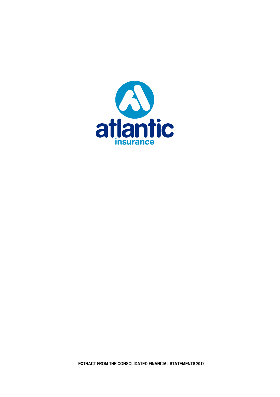

**EXTRACT FROM THE CONSOLIDATED FINANCIAL STATEMENTS 2012**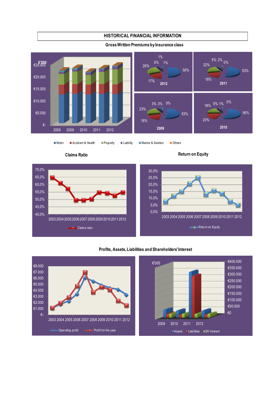## **HISTORICAL FINANCIAL INFORMATION**



## **Gross Written Premiums by Insurance class**

.

Motor Accident & Health Property Liability Marine & Aviation Others





## **Profits, Assets, Liabilities and Shareholders' Interest**

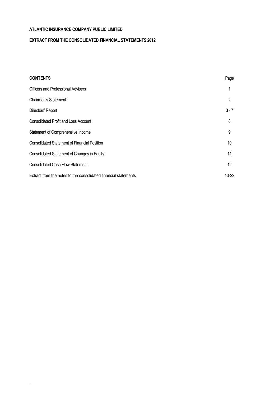.

# **EXTRACT FROM THE CONSOLIDATED FINANCIAL STATEMENTS 2012**

| <b>CONTENTS</b>                                                 | Page    |
|-----------------------------------------------------------------|---------|
| <b>Officers and Professional Advisers</b>                       |         |
| Chairman's Statement                                            | 2       |
| Directors' Report                                               | $3 - 7$ |
| <b>Consolidated Profit and Loss Account</b>                     | 8       |
| Statement of Comprehensive Income                               | 9       |
| <b>Consolidated Statement of Financial Position</b>             | 10      |
| Consolidated Statement of Changes in Equity                     | 11      |
| <b>Consolidated Cash Flow Statement</b>                         | 12      |
| Extract from the notes to the consolidated financial statements | 13-22   |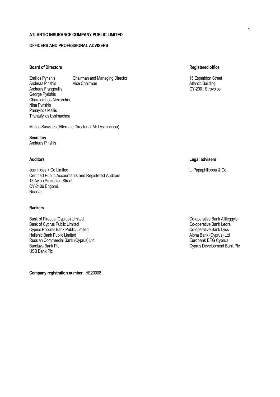# **OFFICERS AND PROFESSIONAL ADVISERS**

## **Board of Directors Registered office**

Emilios Pyrishis Chairman and Managing Director 15 Esperidon Street 15 Esperidon Street Andreas Pirishis Vice Chairman Atlantic Building Andreas Frangoullis George Pyrishis Charalambos Alexandrou Nina Pyrishis Panayiotis Mallis Triantafyllos Lysimachou

Marios Savvides (Alternate Director of Mr Lysimachou)

**Secretary** Andreas Pirishis

Joannides + Co Limited L. Papaphilippou & Co. Certified Public Accountants and Registered Auditors 13 Ayiou Prokopiou Street CY-2406 Engomi, Nicosia

#### **Bankers**

Bank of Piraeus (Cyprus) Limited Co-operative Bank Allileggyis<br>Bank of Cyprus Public Limited Co-operative Bank Ledra Bank of Cyprus Public Limited<br>
Co-operative Bank Ledra<br>
Co-operative Bank Lyssi<br>
Co-operative Bank Lyssi Cyprus Popular Bank Public Limited<br>
Hellenic Bank Public Limited<br>
Hellenic Bank (Cyprus) Ltd Hellenic Bank Public Limited<br>
Russian Commercial Bank (Cyprus) Ltd<br>
Russian Commercial Bank (Cyprus) Ltd Russian Commercial Bank (Cyprus) Ltd<br>Barclays Bank Plc USB Bank Plc

**Company registration number**: ΗΕ20008

## **Auditors Legal advisers**

Cyprus Development Bank Plc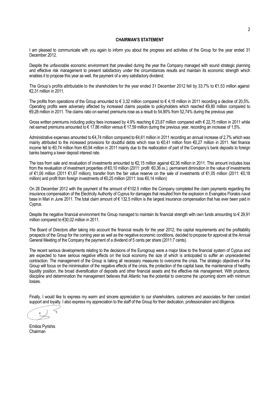### **CHAIRMAN'S STATEMENT**

I am pleased to communicate with you again to inform you about the progress and activities of the Group for the year ended 31 December 2012.

Despite the unfavorable economic environment that prevailed during the year the Company managed with sound strategic planning and effective risk management to present satisfactory under the circumstances results and maintain its economic strength which enables it to propose this year as well, the payment of a very satisfactory dividend.

The Group's profits attributable to the shareholders for the year ended 31 December 2012 fell by 33,7% to €1,53 million against €2,31 million in 2011.

The profits from operations of the Group amounted to  $\epsilon$  3,32 million compared to  $\epsilon$  4,18 million in 2011 recording a decline of 20,5%. Operating profits were adversely affected by increased claims payable to policyholders which reached €9,80 million compared to €9,28 million in 2011. The claims ratio on earned premiums rose as a result to 54,90% from 52,74% during the previous year.

Gross written premiums including policy fees increased by 4.9% reaching € 23,87 million compared with € 22,75 million in 2011 while net earned premiums amounted to € 17,86 million versus € 17,59 million during the previous year, recording an increase of 1,5%.

Administrative expenses amounted to €4,74 million compared to €4,61 million in 2011 recording an annual increase of 2,7% which was mainly attributed to the increased provisions for doubtful debts which rose to €0,41 million from €0,27 million in 2011. Net finance income fell to €0,74 million from €0,94 million in 2011 mainly due to the reallocation of part of the Company's bank deposits to foreign banks bearing a lower deposit interest rate.

The loss from sale and revaluation of investments amounted to €2,15 million against €2,36 million in 2011. This amount includes loss from the revaluation of investment properties of €0,10 million (2011: profit €0,36 εκ.), permanent diminution in the value of investments of €1,06 million (2011 €1,67 million), transfer from the fair value reserve on the sale of investments of €1,05 million (2011: €0,18 million) and profit from foreign investments of €0,25 million (2011: loss €0,14 million)

On 28 December 2012 with the payment of the amount of €102.5 million the Company completed the claim payments regarding the insurance compensation of the Electricity Authority of Cyprus for damages that resulted from the explosion in Evangelos Florakis naval base in Mari in June 2011. The total claim amount of € 132.5 million is the largest insurance compensation that has ever been paid in Cyprus.

Despite the negative financial environment the Group managed to maintain its financial strength with own funds amounting to  $\epsilon$  29.91 million compared to €30,02 million in 2011.

The Board of Directors after taking into account the financial results for the year 2012, the capital requirements and the profitability prospects of the Group for the coming year as well as the negative economic conditions, decided to propose for approval at the Annual General Meeting of the Company the payment of a dividend of 5 cents per share (2011:7 cents).

The recent serious developments relating to the decisions of the Eurogroup were a major blow to the financial system of Cyprus and are expected to have serious negative effects on the local economy the size of which is anticipated to suffer an unprecedented contraction. The management of the Group is taking all necessary measures to overcome the crisis. The strategic objectives of the Group will focus on the minimisation of the negative effects of the crisis, the protection of the capital base, the maintenance of healthy liquidity position, the broad diversification of deposits and other financial assets and the effective risk management. With prudence, discipline and determination the management believes that Atlantic has the potential to overcome the upcoming storm with minimum losses.

Finally, I would like to express my warm and sincere appreciation to our shareholders, customers and associates for their constant support and loyalty. I also express my appreciation to the staff of the Group for their dedication, professionalism and diligence.

Emilios Pyrishis Chairman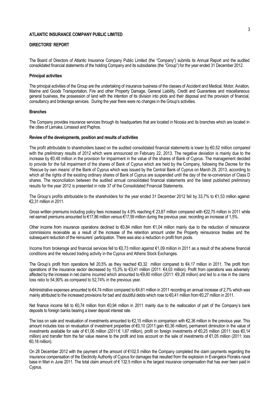### **DIRECTORS' REPORT**

The Board of Directors of Atlantic Insurance Company Public Limited (the "Company") submits its Annual Report and the audited consolidated financial statements of the holding Company and its subsidiaries (the "Group") for the year ended 31 December 2012.

#### **Principal activities**

The principal activities of the Group are the undertaking of insurance business of the classes of Accident and Medical, Motor, Aviation, Marine and Goods Transportation, Fire and other Property Damage, General Liability, Credit and Guarantees and miscellaneous general business, the possession of land with the intention of its division into plots and their disposal and the provision of financial, consultancy and brokerage services. During the year there were no changes in the Group's activities.

#### **Branches**

The Company provides insurance services through its headquarters that are located in Nicosia and its branches which are located in the cities of Larnaka, Limassol and Paphos.

#### **Review of the developments, position and results of activities**

The profit attributable to shareholders based on the audited consolidated financial statements is lower by  $\epsilon$ 0,52 million compared with the preliminary results of 2012 which were announced on February 22, 2013. The negative deviation is mainly due to the increase by €0,48 million in the provision for impairment in the value of the shares of Bank of Cyprus. The management decided to provide for the full impairment of the shares of Bank of Cyprus which are held by the Company, following the Decree for the 'Rescue by own means' of the Bank of Cyprus which was issued by the Central Bank of Cyprus on March 29, 2013, according to which all the rights of the existing ordinary shares of Bank of Cyprus are suspended until the day of the re-conversion of Class D shares. The reconciliation between the audited annual consolidated financial statements and the latest published preliminary results for the year 2012 is presented in note 37 of the Consolidated Financial Statements.

The Group's profits attributable to the shareholders for the year ended 31 December 2012 fell by 33,7% to €1,53 million against €2,31 million in 2011.

Gross written premiums including policy fees increased by 4.9% reaching € 23,87 million compared with €22,75 million in 2011 while net earned premiums amounted to €17,86 million versus €17,59 million during the previous year, recording an increase of 1,5%.

Other income from insurance operations declined to €0,84 million from €1,04 million mainly due to the reduction of reinsurance commissions receivable as a result of the increase of the retention amount under the Property reinsurance treaties and the subsequent reduction of the reinsurers' participation. There was also a reduction in profit from pools.

Income from brokerage and financial services fell to €0,73 million against €1,09 million in 2011 as a result of the adverse financial conditions and the reduced trading activity in the Cyprus and Athens Stock Exchanges.

The Group's profit from operations fell 20,5% as they reached €3,32 million compared to €4,17 million in 2011. The profit from operations of the insurance sector decreased by 15,3% to €3,41 million (2011: €4,03 million). Profit from operations was adversely affected by the increase in net claims incurred which amounted to  $\epsilon$ 9,80 million (2011:  $\epsilon$ 9,28 million) and led to a rise in the claims loss ratio to 54,90% as compared to 52,74% in the previous year.

Administrative expenses amounted to €4,74 million compared to €4,61 million in 2011 recording an annual increase of 2,7% which was mainly attributed to the increased provisions for bad and doubtful debts which rose to €0,41 million from €0,27 million in 2011.

Net finance income fell to €0,74 million from €0,94 million in 2011 mainly due to the reallocation of part of the Company's bank deposits to foreign banks bearing a lower deposit interest rate.

The loss on sale and revaluation of investments amounted to €2,15 million in comparison with €2,36 million in the previous year. This amount includes loss on revaluation of investment properties of €0,10 (2011:gain €0,36 million), permanent diminution in the value of investments available for sale of €1,06 million (2011:€ 1,67 million), profit on foreign investments of €0,25 million (2011: loss €0,14 million) and transfer from the fair value reserve to the profit and loss account on the sale of investments of €1,05 million (2011: loss €0,18 million).

On 28 December 2012 with the payment of the amount of €102.5 million the Company completed the claim payments regarding the insurance compensation of the Electricity Authority of Cyprus for damages that resulted from the explosion in Evangelos Florakis naval base in Mari in June 2011. The total claim amount of € 132.5 million is the largest insurance compensation that has ever been paid in Cyprus.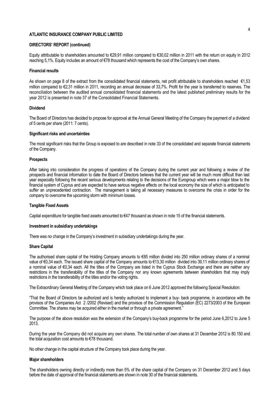#### **DIRECTORS' REPORT (continued)**

Equity attributable to shareholders amounted to €29,91 million compared to €30,02 million in 2011 with the return on equity in 2012 reaching 5,1%. Equity includes an amount of €78 thousand which represents the cost of the Company's own shares.

#### **Financial results**

As shown on page 8 of the extract from the consolidated financial statements, net profit attributable to shareholders reached €1,53 million compared to €2,31 million in 2011, recording an annual decrease of 33,7%. Profit for the year is transferred to reserves. The reconciliation between the audited annual consolidated financial statements and the latest published preliminary results for the year 2012 is presented in note 37 of the Consolidated Financial Statements.

#### **Dividend**

The Board of Directors has decided to propose for approval at the Annual General Meeting of the Company the payment of a dividend of 5 cents per share (2011: 7 cents).

#### **Significant risks and uncertainties**

The most significant risks that the Group is exposed to are described in note 33 of the consolidated and separate financial statements of the Company.

#### **Prospects**

After taking into consideration the progress of operations of the Company during the current year and following a review of the prospects and financial information to date the Board of Directors believes that the current year will be much more difficult than last year especially following the recent serious developments relating to the decisions of the Eurogroup which were a major blow to the financial system of Cyprus and are expected to have serious negative effects on the local economy the size of which is anticipated to suffer an unprecedented contraction. The management is taking all necessary measures to overcome the crisis in order for the company to overcome the upcoming storm with minimum losses.

#### **Tangible Fixed Assets**

Capital expenditure for tangible fixed assets amounted to €47 thousand as shown in note 15 of the financial statements.

#### **Investment in subsidiary undertakings**

There was no change in the Company's investment in subsidiary undertakings during the year.

#### **Share Capital**

The authorised share capital of the Holding Company amounts to €85 million divided into 250 million ordinary shares of a nominal value of €0,34 each. The issued share capital of the Company amounts to €13,30 million divided into 39,11 million ordinary shares of a nominal value of €0,34 each. All the titles of the Company are listed in the Cyprus Stock Exchange and there are neither any restrictions in the transferability of the titles of the Company nor any known agreements between shareholders that may imply restrictions in the transferability of the titles and/or the voting rights.

The Extraordinary General Meeting of the Company which took place on 6 June 2012 approved the following Special Resolution:

"That the Board of Directors be authorized and is hereby authorized to implement a buy- back programme, in accordance with the provisos of the Companies Act 2 /2002 (Revised) and the provisos of the Commission Regulation (EC) 2273/2003 of the European Committee. The shares may be acquired either in the market or through a private agreement.''

The purpose of the above resolution was the extension of the Company's buy-back programme for the period June 6,2012 to June 5 2013.

During the year the Company did not acquire any own shares. The total number of own shares at 31 December 2012 is 80.150 and the total acquisition cost amounts to €78 thousand.

No other change in the capital structure of the Company took place during the year.

#### **Major shareholders**

The shareholders owning directly or indirectly more than 5% of the share capital of the Company on 31 December 2012 and 5 days before the date of approval of the financial statements are shown in note 30 of the financial statements.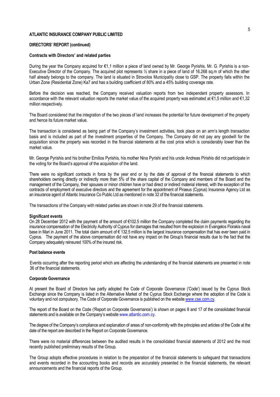#### **DIRECTORS' REPORT (continued)**

#### **Contracts with Directors' and related parties**

During the year the Company acquired for €1.1 million a piece of land owned by Mr. George Pyrishis. Mr. G. Pyrishis is a non-Executive Director of the Company. The acquired plot represents 1/2 share in a piece of land of 16.268 sq.m of which the other half already belongs to the company. The land is situated in Strovolos Municipality close to GSP. The property falls within the Urban Zone (Residential Zone) Ka7 and has a building coefficient of 80% and a 45% building coverage rate.

Before the decision was reached, the Company received valuation reports from two independent property assessors. In accordance with the relevant valuation reports the market value of the acquired property was estimated at €1,5 million and €1,32 million respectively.

The Board considered that the integration of the two pieces of land increases the potential for future development of the property and hence its future market value.

The transaction is considered as being part of the Company's investment activities, took place on an arm's length transaction basis and is included as part of the investment properties of the Company. The Company did not pay any goodwill for the acquisition since the property was recorded in the financial statements at the cost price which is considerably lower than the market value.

Mr. George Pyrishis and his brother Emilios Pyrishis, his mother Nina Pyrishi and his uncle Andreas Pirishis did not participate in the voting for the Board's approval of the acquisition of the land.

There were no significant contracts in force by the year end or by the date of approval of the financial statements to which shareholders owning directly or indirectly more than 5% of the share capital of the Company and members of the Board and the management of the Company, their spouses or minor children have or had direct or indirect material interest, with the exception of the contracts of employment of executive directors and the agreement for the appointment of Piraeus (Cyprus) Insurance Agency Ltd as an insurance agent of Atlantic Insurance Co Public Ltd as mentioned in note 32 of the financial statements.

The transactions of the Company with related parties are shown in note 29 of the financial statements.

#### **Significant events**

On 28 December 2012 with the payment of the amount of €102.5 million the Company completed the claim payments regarding the insurance compensation of the Electricity Authority of Cyprus for damages that resulted from the explosion in Evangelos Florakis naval base in Mari in June 2011. The total claim amount of € 132.5 million is the largest insurance compensation that has ever been paid in Cyprus. The payment of the above compensation did not have any impact on the Group's financial results due to the fact that the Company adequately reinsured 100% of the insured risk.

#### **Post balance events**

Events occurring after the reporting period which are affecting the understanding of the financial statements are presented in note 36 of the financial statements.

#### **Corporate Governance**

At present the Board of Directors has partly adopted the Code of Corporate Governance ('Code') issued by the Cyprus Stock Exchange since the Company is listed in the Alternative Market of the Cyprus Stock Exchange where the adoption of the Code is voluntary and not compulsory. The Code of Corporate Governance is published on the website www.cse.com.cy.

The report of the Board on the Code ('Report on Corporate Governance') is shown on pages 8 and 17 of the consolidated financial statements and is available on the Company's website www.atlantic.com.cy.

The degree of the Company's compliance and explanation of areas of non-conformity with the principles and articles of the Code at the date of the report are described in the Report on Corporate Governance.

There were no material differences between the audited results in the consolidated financial statements of 2012 and the most recently published preliminary results of the Group.

The Group adopts effective procedures in relation to the preparation of the financial statements to safeguard that transactions and events recorded in the accounting books and records are accurately presented in the financial statements, the relevant announcements and the financial reports of the Group.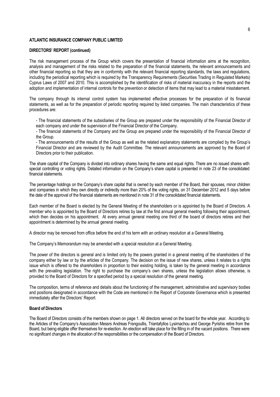#### **DIRECTORS' REPORT (continued)**

The risk management process of the Group which covers the presentation of financial information aims at the recognition, analysis and management of the risks related to the preparation of the financial statements, the relevant announcements and other financial reporting so that they are in conformity with the relevant financial reporting standards, the laws and regulations, including the periodical reporting which is required by the Transparency Requirements (Securities Trading in Regulated Markets) Cyprus Laws of 2007 and 2010. This is accomplished by the identification of risks of material inaccuracy in the reports and the adoption and implementation of internal controls for the prevention or detection of items that may lead to a material misstatement.

The company through its internal control system has implemented effective processes for the preparation of its financial statements, as well as for the preparation of periodic reporting required by listed companies. The main characteristics of these procedures are:

- The financial statements of the subsidiaries of the Group are prepared under the responsibility of the Financial Director of each company and under the supervision of the Financial Director of the Company.

- The financial statements of the Company and the Group are prepared under the responsibility of the Financial Director of the Group.

- The announcements of the results of the Group as well as the related explanatory statements are compiled by the Group's Financial Director and are reviewed by the Audit Committee. The relevant announcements are approved by the Board of Directors prior to their publication.

The share capital of the Company is divided into ordinary shares having the same and equal rights. There are no issued shares with special controlling or voting rights. Detailed information on the Company's share capital is presented in note 23 of the consolidated financial statements.

The percentage holdings on the Company's share capital that is owned by each member of the Board, their spouses, minor children and companies in which they own directly or indirectly more than 20% of the voting rights, on 31 December 2012 and 5 days before the date of the approval of the financial statements are mentioned in note 31 of the consolidated financial statements.

Each member of the Board is elected by the General Meeting of the shareholders or is appointed by the Board of Directors. A member who is appointed by the Board of Directors retires by law at the first annual general meeting following their appointment, which then decides on his appointment. At every annual general meeting one third of the board of directors retires and their appointment is determined by the annual general meeting.

A director may be removed from office before the end of his term with an ordinary resolution at a General Meeting.

The Company's Memorandum may be amended with a special resolution at a General Meeting.

The power of the directors is general and is limited only by the powers granted in a general meeting of the shareholders of the company either by law or by the articles of the Company. The decision on the issue of new shares, unless it relates to a rights issue which is offered to the shareholders in proportion to their existing holding, is taken by the general meeting in accordance with the prevailing legislation. The right to purchase the company's own shares, unless the legislation allows otherwise, is provided to the Board of Directors for a specified period by a special resolution of the general meeting.

The composition, terms of reference and details about the functioning of the management, administrative and supervisory bodies and positions designated in accordance with the Code are mentioned in the Report of Corporate Governance which is presented immediately after the Directors' Report.

#### **Board of Directors**

The Board of Directors consists of the members shown on page 1. All directors served on the board for the whole year. According to the Articles of the Company's Association Messrs Andreas Frangoullis, Triantafyllos Lysimachou and George Pyrishis retire from the Board, but being eligible offer themselves for re-election. An election will take place for the filling in of the vacant positions. There were no significant changes in the allocation of the responsibilities or the compensation of the Board of Directors.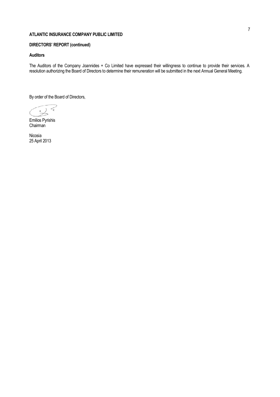# **DIRECTORS' REPORT (continued)**

## **Auditors**

The Auditors of the Company Joannides + Co Limited have expressed their willingness to continue to provide their services. A resolution authorizing the Board of Directors to determine their remuneration will be submitted in the next Annual General Meeting.

By order of the Board of Directors,

Emilios Pyrishis Chairman

Nicosia 25 April 2013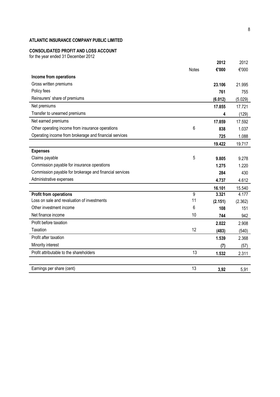# **CONSOLIDATED PROFIT AND LOSS ACCOUNT**

for the year ended 31 December 2012

|                                                         |                | 2012    | 2012    |
|---------------------------------------------------------|----------------|---------|---------|
|                                                         | <b>Notes</b>   | €'000   | €'000   |
| Income from operations                                  |                |         |         |
| Gross written premiums                                  |                | 23.106  | 21.995  |
| Policy fees                                             |                | 761     | 755     |
| Reinsurers' share of premiums                           |                | (6.012) | (5.029) |
| Net premiums                                            |                | 17.855  | 17.721  |
| Transfer to unearned premiums                           |                | 4       | (129)   |
| Net earned premiums                                     |                | 17.859  | 17.592  |
| Other operating income from insurance operations        | 6              | 838     | 1.037   |
| Operating income from brokerage and financial services  |                | 725     | 1.088   |
|                                                         |                | 19.422  | 19.717  |
| <b>Expenses</b>                                         |                |         |         |
| Claims payable                                          | 5              | 9.805   | 9.278   |
| Commission payable for insurance operations             |                | 1.275   | 1.220   |
| Commission payable for brokerage and financial services |                | 284     | 430     |
| Administrative expenses                                 |                | 4.737   | 4.612   |
|                                                         |                | 16.101  | 15.540  |
| <b>Profit from operations</b>                           | $\overline{9}$ | 3.321   | 4.177   |
| Loss on sale and revaluation of investments             | 11             | (2.151) | (2.362) |
| Other investment income                                 | 6              | 108     | 151     |
| Net finance income                                      | 10             | 744     | 942     |
| Profit before taxation                                  |                | 2.022   | 2.908   |
| Taxation                                                | 12             | (483)   | (540)   |
| Profit after taxation                                   |                | 1.539   | 2.368   |
| Minority interest                                       |                | (7)     | (57)    |
| Profit attributable to the shareholders                 | 13             | 1.532   | 2.311   |
|                                                         |                |         |         |
| Earnings per share (cent)                               | 13             | 3,92    | 5,91    |
|                                                         |                |         |         |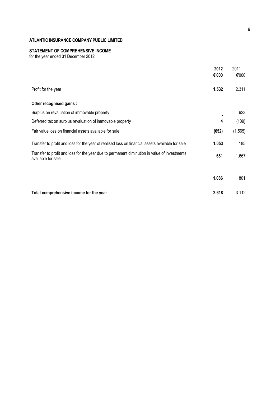#### **STATEMENT OF COMPREHENSIVE INCOME**

for the year ended 31 December 2012

|                                                                                                                    | 2012<br>€'000 | 2011<br>€'000 |
|--------------------------------------------------------------------------------------------------------------------|---------------|---------------|
| Profit for the year                                                                                                | 1.532         | 2.311         |
| Other recognised gains :                                                                                           |               |               |
| Surplus on revaluation of immovable property                                                                       |               | 623           |
| Deferred tax on surplus revaluation of immovable property                                                          | 4             | (109)         |
| Fair value loss on financial assets available for sale                                                             | (652)         | (1.565)       |
| Transfer to profit and loss for the year of realised loss on financial assets available for sale                   | 1.053         | 185           |
| Transfer to profit and loss for the year due to permanent diminution in value of investments<br>available for sale | 681           | 1.667         |
|                                                                                                                    | 1.086         | 801           |
| Total comprehensive income for the year                                                                            | 2.618         | 3.112         |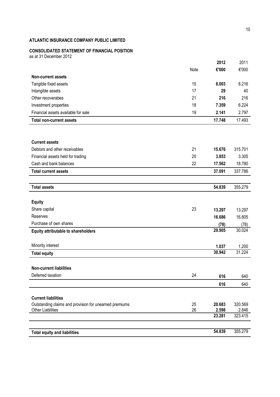# **CONSOLIDATED STATEMENT OF FINANCIAL POSITION**

as at 31 December 2012

| <b>Total equity and liabilities</b>                                                  |      | 54.839        | 355.279       |
|--------------------------------------------------------------------------------------|------|---------------|---------------|
|                                                                                      |      |               |               |
|                                                                                      |      | 23.281        | 323.415       |
| <b>Other Liabilities</b>                                                             | 26   | 2.598         | 2.846         |
| <b>Current liabilities</b><br>Outstanding claims and provision for unearned premiums | 25   | 20.683        | 320.569       |
|                                                                                      |      |               |               |
|                                                                                      |      | 616           | 640           |
| Deferred taxation                                                                    | 24   | 616           | 640           |
| <b>Non-current liabilities</b>                                                       |      |               |               |
|                                                                                      |      |               |               |
| <b>Total equity</b>                                                                  |      | 30.942        | 31.224        |
| Minority interest                                                                    |      | 1.037         | 1.200         |
|                                                                                      |      |               |               |
| <b>Equity attributable to shareholders</b>                                           |      | 29.905        | 30.024        |
| Purchase of own shares                                                               |      | (78)          | (78)          |
| Reserves                                                                             |      | 16.686        | 16.805        |
| Share capital                                                                        | 23   | 13.297        | 13.297        |
| <b>Equity</b>                                                                        |      |               |               |
|                                                                                      |      |               |               |
| <b>Total assets</b>                                                                  |      | 54.839        | 355.279       |
|                                                                                      |      |               |               |
| <b>Total current assets</b>                                                          |      | 37.091        | 337.786       |
| Cash and bank balances                                                               | 22   | 17.562        | 18.780        |
| Financial assets held for trading                                                    | 20   | 3.853         | 3.305         |
| Debtors and other receivables                                                        | 21   | 15.676        | 315.701       |
| <b>Current assets</b>                                                                |      |               |               |
|                                                                                      |      |               |               |
|                                                                                      |      |               |               |
| <b>Total non-current assets</b>                                                      |      | 17.748        | 17.493        |
| Financial assets available for sale                                                  | 19   | 2.141         | 2.797         |
| Investment properties                                                                | 18   | 7.359         | 6.224         |
| Other recoverabes                                                                    | 21   | 216           | 216           |
| Intangible assets                                                                    | 17   | 29            | 40            |
| Tangible fixed assets                                                                | 15   | 8.003         | 8.216         |
| <b>Non-current assets</b>                                                            |      |               |               |
|                                                                                      | Note | 2012<br>€'000 | 2011<br>€'000 |
|                                                                                      |      |               |               |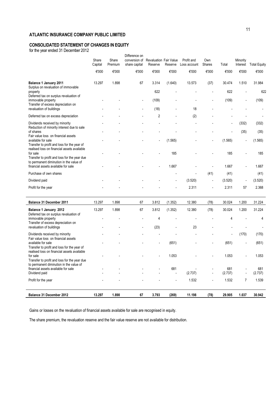# **CONSOLIDATED STATEMENT OF CHANGES IN EQUITY**

for the year ended 31 December 2012

| Share<br>Capital<br>€'000 | Share<br>Premium<br>€'000 | conversion of<br>share capital<br>€'000 | Reserve<br>€'000 | Reserve<br>€'000         | Profit and<br>Loss account<br>€'000 | Own<br><b>Shares</b><br>€'000 | Total<br>€'000 | Minority<br>Interest<br>€'000 | <b>Total Equity</b><br>€'000 |
|---------------------------|---------------------------|-----------------------------------------|------------------|--------------------------|-------------------------------------|-------------------------------|----------------|-------------------------------|------------------------------|
| 13.297                    | 1.898                     | 67                                      | 3.314            | (1.640)                  | 13.573                              | (37)                          | 30.474         | 1.510                         | 31.984<br>622                |
|                           |                           |                                         | (109)            |                          |                                     |                               | (109)          |                               | (109)                        |
|                           |                           |                                         |                  |                          |                                     |                               |                |                               |                              |
|                           |                           |                                         | 2                | $\overline{\phantom{a}}$ | (2)                                 |                               |                |                               |                              |
|                           |                           |                                         |                  |                          |                                     |                               |                | (332)                         | (332)                        |
|                           |                           |                                         |                  |                          |                                     |                               |                | (35)                          | (35)                         |
|                           |                           |                                         |                  | (1.565)                  |                                     |                               | (1.565)        |                               | (1.565)                      |
|                           |                           |                                         |                  | 185                      |                                     |                               | 185            |                               | 185                          |
|                           |                           |                                         |                  | 1.667                    |                                     |                               | 1.667          |                               | 1.667                        |
|                           |                           |                                         |                  |                          |                                     | (41)                          | (41)           |                               | (41)                         |
|                           |                           |                                         |                  | $\overline{\phantom{a}}$ | (3.520)                             | $\blacksquare$                | (3.520)        | $\overline{\phantom{a}}$      | (3.520)                      |
|                           |                           |                                         |                  |                          | 2.311                               |                               | 2.311          | 57                            | 2.368                        |
|                           |                           |                                         | Difference on    | 622<br>(18)              | <b>Revaluation Fair Value</b>       | 18                            |                | 622                           |                              |

| <b>Balance 31 December 2011</b><br>Balance 1 January 2012                                                                                               | 13.297<br>13.297 | 1.898<br>1.898 | 67<br>67                 | 3.812<br>3.812 | (1.352)<br>(1.352)       | 12.380<br>12.380 | (78)<br>(78)   | 30.024<br>30.024         | 1.200<br>1.200           | 31.224<br>31.224 |
|---------------------------------------------------------------------------------------------------------------------------------------------------------|------------------|----------------|--------------------------|----------------|--------------------------|------------------|----------------|--------------------------|--------------------------|------------------|
| Deferred tax on surplus revaluation of<br>immovable property<br>Transfer of excess depreciation on<br>revaluation of buildings                          |                  |                | $\overline{\phantom{a}}$ | 4<br>(23)      | $\overline{\phantom{a}}$ | 23               |                | 4                        |                          | 4                |
| Dividends received by minority                                                                                                                          |                  |                |                          |                |                          |                  |                | $\overline{\phantom{a}}$ | (170)                    | (170)            |
| Fair value loss on financial assets<br>available for sale<br>Transfer to profit and loss for the year of<br>realised loss on financial assets available |                  |                |                          | $\blacksquare$ | (651)                    |                  | $\blacksquare$ | (651)                    | $\overline{\phantom{a}}$ | (651)            |
| for sale<br>Transfer to profit and loss for the year due<br>to permanent diminution in the value of                                                     |                  |                |                          | $\blacksquare$ | 1.053                    |                  | $\blacksquare$ | 1.053                    |                          | 1.053            |
| financial assets available for sale                                                                                                                     |                  |                |                          |                | 681                      |                  |                | 681                      |                          | 681              |
| Dividend paid                                                                                                                                           |                  |                |                          |                | $\overline{\phantom{a}}$ | (2.737)          | $\blacksquare$ | (2.737)                  | $\overline{\phantom{a}}$ | (2.737)          |
| Profit for the year                                                                                                                                     |                  |                |                          |                |                          | 1.532            | $\blacksquare$ | 1.532                    | 7                        | 1.539            |
| Balance 31 December 2012                                                                                                                                | 13.297           | 1.898          | 67                       | 3.793          | (269)                    | 11.198           | (78)           | 29.905                   | 1.037                    | 30.942           |

Gains or losses on the revaluation of financial assets available for sale are recognised in equity.

The share premium, the revaluation reserve and the fair value reserve are not available for distribution.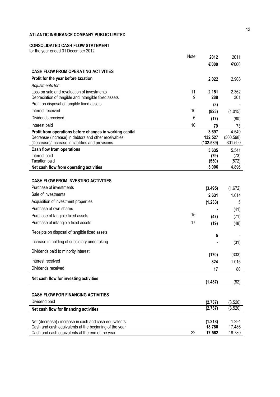# **CONSOLIDATED CASH FLOW STATEMENT**

for the year ended 31 December 2012

|                                                                                                                   | Note | 2012               | 2011               |
|-------------------------------------------------------------------------------------------------------------------|------|--------------------|--------------------|
|                                                                                                                   |      | €'000              | €'000              |
| <b>CASH FLOW FROM OPERATING ACTIVITIES</b>                                                                        |      |                    |                    |
| Profit for the year before taxation                                                                               |      | 2.022              | 2.908              |
| Adjustments for:                                                                                                  |      |                    |                    |
| Loss on sale and revaluation of investments                                                                       | 11   | 2.151              | 2.362              |
| Depreciation of tangible and intangible fixed assets                                                              | 9    | 288                | 301                |
| Profit on disposal of tangible fixed assets                                                                       |      | (3)                |                    |
| Interest received                                                                                                 | 10   | (823)              | (1.015)            |
| Dividends received                                                                                                | 6    | (17)               | (80)               |
| Interest paid                                                                                                     | 10   | 79                 | 73                 |
| Profit from operations before changes in working capital<br>Decrease/ (increase) in debtors and other receivables |      | 3.697<br>132.527   | 4.549<br>(300.598) |
| (Decrease)/ increase in liabilities and provisions                                                                |      | (132.589)          | 301.590            |
| <b>Cash flow from operations</b>                                                                                  |      | 3.635              | 5.541              |
| Interest paid                                                                                                     |      | (79)               | (73)               |
| Taxation paid                                                                                                     |      | (550)              | (572)              |
| Net cash flow from operating activities                                                                           |      | 3.006              | 4.896              |
| <b>CASH FLOW FROM INVESTING ACTIVITIES</b>                                                                        |      |                    |                    |
| Purchase of investments                                                                                           |      |                    |                    |
| Sale of investments                                                                                               |      | (3.495)            | (1.672)            |
| Acquisition of investment properties                                                                              |      | 2.631              | 1.014              |
| Purchase of own shares                                                                                            |      | (1.233)            | 5                  |
| Purchase of tangible fixed assets                                                                                 | 15   |                    | (41)               |
| Purchase of intangible fixed assets                                                                               | 17   | (47)               | (71)               |
|                                                                                                                   |      | (19)               | (48)               |
| Receipts on disposal of tangible fixed assets                                                                     |      | 5                  |                    |
| Increase in holding of subsidiary undertaking                                                                     |      |                    | (31)               |
| Dividends paid to minority interest                                                                               |      | (170)              | (333)              |
| Interest received                                                                                                 |      | 824                | 1.015              |
| Dividends received                                                                                                |      | 17                 | 80                 |
| Net cash flow for investing activities                                                                            |      |                    |                    |
|                                                                                                                   |      | (1.487)            | (82)               |
| <b>CASH FLOW FOR FINANCING ACTIVITIES</b>                                                                         |      |                    |                    |
| Dividend paid                                                                                                     |      |                    |                    |
| Net cash flow for financing activities                                                                            |      | (2.737)<br>(2.737) | (3.520)<br>(3.520) |
|                                                                                                                   |      |                    |                    |
| Net (decrease) / increase in cash and cash equivalents                                                            |      | (1.218)            | 1.294              |
| Cash and cash equivalents at the beginning of the year                                                            |      | 18.780             | 17.486             |
| Cash and cash equivalents at the end of the year                                                                  | 22   | 17.562             | 18.780             |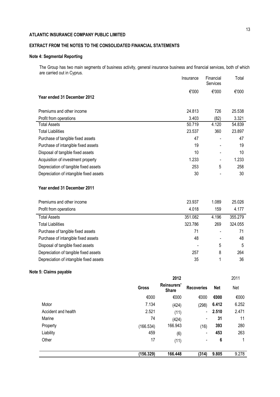# **EXTRACT FROM THE NOTES TO THE CONSOLIDATED FINANCIAL STATEMENTS**

# **Note 4: Segmental Reporting**

The Group has two main segments of business activity, general insurance business and financial services, both of which are carried out in Cyprus.

|                                         | Insurance | Financial<br>Services    | Total  |
|-----------------------------------------|-----------|--------------------------|--------|
| Year ended 31 December 2012             | €'000     | €'000                    | €'000  |
| Premiums and other income               | 24.813    | 726                      | 25.538 |
| Profit from operations                  | 3.403     | (82)                     | 3.321  |
| <b>Total Assets</b>                     | 50.719    | 4.120                    | 54.839 |
| <b>Total Liabilities</b>                | 23.537    | 360                      | 23.897 |
| Purchase of tangible fixed assets       | 47        |                          | 47     |
| Purchase of intangible fixed assets     | 19        |                          | 19     |
| Disposal of tangible fixed assets       | 10        |                          | 10     |
| Acquisition of investment property      | 1.233     | $\overline{\phantom{0}}$ | 1.233  |
| Depreciation of tangible fixed assets   | 253       | 5                        | 258    |
| Depreciation of intangible fixed assets | 30        |                          | 30     |
| Year ended 31 December 2011             |           |                          |        |

| Premiums and other income               | 23.937  | 1.089 | 25.026  |
|-----------------------------------------|---------|-------|---------|
| Profit from operations                  | 4.018   | 159   | 4.177   |
| <b>Total Assets</b>                     | 351.082 | 4.196 | 355.279 |
| <b>Total Liabilities</b>                | 323.786 | 269   | 324.055 |
| Purchase of tangible fixed assets       | 71      |       | 71      |
| Purchase of intangible fixed assets     | 48      |       | 48      |
| Disposal of tangible fixed assets       |         | 5     | 5       |
| Depreciation of tangible fixed assets   | 257     | 8     | 264     |
| Depreciation of intangible fixed assets | 35      |       | 36      |

# **Note 5: Claims payable**

|                     |              | 2012                               |                   |            | 2011  |
|---------------------|--------------|------------------------------------|-------------------|------------|-------|
|                     | <b>Gross</b> | <b>Reinsurers'</b><br><b>Share</b> | <b>Recoveries</b> | <b>Net</b> | Net   |
|                     | €000         | €000                               | €000              | €000       | €000  |
| Motor               | 7.134        | (424)                              | (298)             | 6.412      | 6.252 |
| Accident and health | 2.521        | (11)                               | $\blacksquare$    | 2.510      | 2.471 |
| Marine              | 74           | (424)                              | $\blacksquare$    | 31         | 11    |
| Property            | (166.534)    | 166.943                            | (16)              | 393        | 280   |
| Liability           | 459          | (6)                                | $\blacksquare$    | 453        | 263   |
| Other               | 17           | (11)                               | $\blacksquare$    | 6          |       |
|                     | (156.329)    | 166.448                            | (314)             | 9.805      | 9.278 |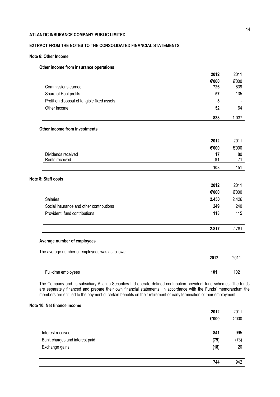# **EXTRACT FROM THE NOTES TO THE CONSOLIDATED FINANCIAL STATEMENTS**

## **Note 6: Other Income**

## **Other income from insurance operations**

|                                                 | 2012  | 2011  |
|-------------------------------------------------|-------|-------|
|                                                 | €'000 | €'000 |
| Commissions earned                              | 726   | 839   |
| Share of Pool profits                           | 57    | 135   |
| Profit on disposal of tangible fixed assets     | 3     |       |
| Other income                                    | 52    | 64    |
|                                                 | 838   | 1.037 |
| Other income from investments                   |       |       |
|                                                 | 2012  | 2011  |
|                                                 | €'000 | €'000 |
| Dividends received                              | 17    | 80    |
| Rents received                                  | 91    | 71    |
|                                                 | 108   | 151   |
| Note 8: Staff costs                             |       |       |
|                                                 | 2012  | 2011  |
|                                                 | €'000 | €'000 |
| Salaries                                        | 2.450 | 2.426 |
| Social insurance and other contributions        | 249   | 240   |
| Provident fund contributions                    | 118   | 115   |
|                                                 | 2.817 | 2.781 |
| Average number of employees                     |       |       |
|                                                 |       |       |
| The average number of employees was as follows: | 2012  | 2011  |
| Full-time employees                             | 101   | 102   |

The Company and its subsidiary Atlantic Securities Ltd operate defined contribution provident fund schemes. The funds are separately financed and prepare their own financial statements. In accordance with the Funds' memorandum the members are entitled to the payment of certain benefits on their retirement or early termination of their employment.

## **Note 10: Net finance income**

|                                | 2012  | 2011  |
|--------------------------------|-------|-------|
|                                | €'000 | €'000 |
|                                |       |       |
| Interest received              | 841   | 995   |
| Bank charges and interest paid | (79)  | (73)  |
| Exchange gains                 | (18)  | 20    |
|                                |       |       |
|                                | 744   | 942   |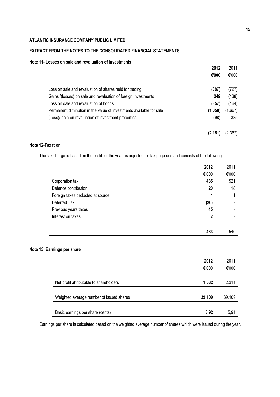# **EXTRACT FROM THE NOTES TO THE CONSOLIDATED FINANCIAL STATEMENTS**

## **Note 11- Losses on sale and revaluation of investments**

|                                                                     | 2012    | 2011    |
|---------------------------------------------------------------------|---------|---------|
|                                                                     | €'000   | €'000   |
| Loss on sale and revaluation of shares held for trading             | (387)   | (727)   |
| Gains /(losses) on sale and revaluation of foreign investments      | 249     | (138)   |
| Loss on sale and revaluation of bonds                               | (857)   | (164)   |
| Permanent diminution in the value of investments available for sale | (1.058) | (1.667) |
| (Loss) gain on revaluation of investment properties                 | (98)    | 335     |
|                                                                     | (2.151) | (2.362) |

# **Note 12-Taxation**

The tax charge is based on the profit for the year as adjusted for tax purposes and consists of the following:

|                                  | 2012  | 2011  |
|----------------------------------|-------|-------|
|                                  | €'000 | €'000 |
| Corporation tax                  | 435   | 521   |
| Defence contribution             | 20    | 18    |
| Foreign taxes deducted at source | 1     | 1     |
| Deferred Tax                     | (20)  |       |
| Previous years taxes             | 45    |       |
| Interest on taxes                | 2     |       |
|                                  | 483   | 540   |

## **Note 13: Earnings per share**

|                                          | 2012<br>€'000 | 2011<br>€'000 |
|------------------------------------------|---------------|---------------|
| Net profit attributable to shareholders  | 1.532         | 2.311         |
| Weighted average number of issued shares | 39.109        | 39.109        |
| Basic earnings per share (cents)         | 3,92          | 5.91          |

Earnings per share is calculated based on the weighted average number of shares which were issued during the year.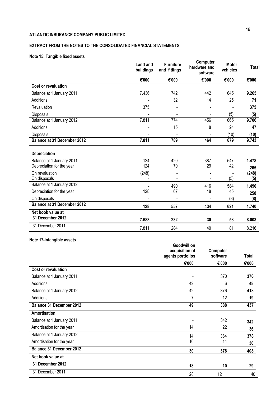# **EXTRACT FROM THE NOTES TO THE CONSOLIDATED FINANCIAL STATEMENTS**

# **Note 15: Tangible fixed assets**

|                                       | Land and<br>buildings | <b>Furniture</b><br>and fittings | Computer<br>hardware and<br>software | <b>Motor</b><br>vehicles | Total |
|---------------------------------------|-----------------------|----------------------------------|--------------------------------------|--------------------------|-------|
|                                       | €'000                 | €'000                            | €'000                                | €'000                    | €'000 |
| Cost or revaluation                   |                       |                                  |                                      |                          |       |
| Balance at 1 January 2011             | 7.436                 | 742                              | 442                                  | 645                      | 9.265 |
| Additions                             |                       | 32                               | 14                                   | 25                       | 71    |
| Revaluation                           | 375                   |                                  |                                      |                          | 375   |
| <b>Disposals</b>                      |                       |                                  |                                      | (5)                      | (5)   |
| Balance at 1 January 2012             | 7.811                 | 774                              | 456                                  | 665                      | 9.706 |
| Additions                             |                       | 15                               | 8                                    | 24                       | 47    |
| Disposals                             |                       |                                  |                                      | (10)                     | (10)  |
| <b>Balance at 31 December 2012</b>    | 7.811                 | 789                              | 464                                  | 679                      | 9.743 |
| Depreciation                          |                       |                                  |                                      |                          |       |
| Balance at 1 January 2011             | 124                   | 420                              | 387                                  | 547                      | 1.478 |
| Depreciation for the year             | 124                   | 70                               | 29                                   | 42                       | 265   |
| On revaluation                        | (248)                 |                                  |                                      |                          | (248) |
| On disposals                          |                       |                                  |                                      | (5)                      | (5)   |
| Balance at 1 January 2012             |                       | 490                              | 416                                  | 584                      | 1.490 |
| Depreciation for the year             | 128                   | 67                               | 18                                   | 45                       | 258   |
| On disposals                          |                       | $\blacksquare$                   |                                      | (8)                      | (8)   |
| <b>Balance at 31 December 2012</b>    | 128                   | 557                              | 434                                  | 621                      | 1.740 |
| Net book value at<br>31 December 2012 | 7.683                 | 232                              | 30                                   | 58                       | 8.003 |
| 31 December 2011                      | 7.811                 | 284                              | 40                                   | 81                       | 8.216 |

# **Note 17-Intangible assets**

|                                 | Goodwill on<br>acquisition of<br>agents portfolios | Computer<br>software | Total |
|---------------------------------|----------------------------------------------------|----------------------|-------|
|                                 | €'000                                              | €'000                | €'000 |
| Cost or revaluation             |                                                    |                      |       |
| Balance at 1 January 2011       |                                                    | 370                  | 370   |
| Additions                       | 42                                                 | 6                    | 48    |
| Balance at 1 January 2012       | 42                                                 | $\overline{376}$     | 418   |
| Additions                       | 7                                                  | 12                   | 19    |
| <b>Balance 31 December 2012</b> | 49                                                 | 388                  | 437   |
| Amortisation                    |                                                    |                      |       |
| Balance at 1 January 2011       |                                                    | 342                  | 342   |
| Amortisation for the year       | 14                                                 | 22                   | 36    |
| Balance at 1 January 2012       | 14                                                 | 364                  | 378   |
| Amortisation for the year       | 16                                                 | 14                   | 30    |
| <b>Balance 31 December 2012</b> | 30                                                 | 378                  | 408   |
| Net book value at               |                                                    |                      |       |
| 31 December 2012                | 18                                                 | 10                   | 29    |
| 31 December 2011                | 28                                                 | 12                   | 40    |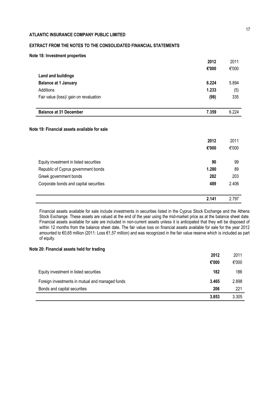# **EXTRACT FROM THE NOTES TO THE CONSOLIDATED FINANCIAL STATEMENTS**

| Note 18: Investment properties |  |
|--------------------------------|--|
|--------------------------------|--|

|                                                                                        | 2012  | 2011                     |
|----------------------------------------------------------------------------------------|-------|--------------------------|
|                                                                                        | €'000 | €'000                    |
| <b>Land and buildings</b>                                                              |       |                          |
| <b>Balance at 1 January</b>                                                            | 6.224 | 5.894                    |
| Additions                                                                              | 1.233 | (5)                      |
| Fair value (loss)/ gain on revaluation                                                 | (98)  | 335                      |
| <b>Balance at 31 December</b>                                                          | 7.359 | 6.224                    |
|                                                                                        |       |                          |
|                                                                                        |       |                          |
|                                                                                        | 2012  |                          |
|                                                                                        | €'000 | 2011<br>€'000            |
| Equity investment in listed securities                                                 | 90    |                          |
| Republic of Cyprus government bonds                                                    | 1.280 |                          |
| Greek government bonds                                                                 | 282   |                          |
| Note 19: Financial assets available for sale<br>Corporate bonds and capital securities | 489   | 99<br>89<br>203<br>2.406 |

Financial assets available for sale include investments in securities listed in the Cyprus Stock Exchange and the Athens Stock Exchange. These assets are valued at the end of the year using the mid-market price as at the balance sheet date. Financial assets available for sale are included in non-current assets unless it is anticipated that they will be disposed of within 12 months from the balance sheet date. The fair value loss on financial assets available for sale for the year 2012 amounted to €0,65 million (2011: Loss €1,57 million) and was recognized in the fair value reserve which is included as part of equity.

## **Note 20: Financial assets held for trading**

|                                                 | 2012  | 2011  |
|-------------------------------------------------|-------|-------|
|                                                 | €'000 | €'000 |
| Equity investment in listed securities          | 182   | 186   |
| Foreign investments in mutual and managed funds | 3.465 | 2.898 |
| Bonds and capital securities                    | 206   | 221   |
|                                                 | 3.853 | 3.305 |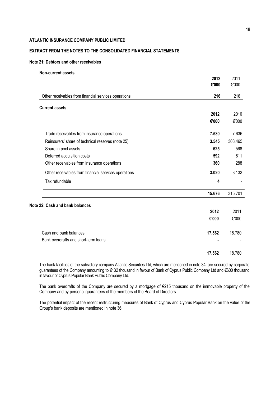# **EXTRACT FROM THE NOTES TO THE CONSOLIDATED FINANCIAL STATEMENTS**

### **Note 21: Debtors and other receivables**

#### **Non-current assets**

|                                                      | 2012   | 2011    |
|------------------------------------------------------|--------|---------|
|                                                      | €'000  | €'000   |
| Other receivables from financial services operations | 216    | 216     |
| <b>Current assets</b>                                |        |         |
|                                                      | 2012   | 2010    |
|                                                      | €'000  | €'000   |
| Trade receivables from insurance operations          | 7.530  | 7.636   |
| Reinsurers' share of technical reserves (note 25)    | 3.545  | 303.465 |
| Share in pool assets                                 | 625    | 568     |
| Deferred acquisition costs                           | 592    | 611     |
| Other receivables from insurance operations          | 360    | 288     |
| Other receivables from financial services operations | 3.020  | 3.133   |
| Tax refundable                                       | 4      |         |
|                                                      | 15.676 | 315.701 |
| Note 22: Cash and bank balances                      |        |         |
|                                                      | 2012   | 2011    |
|                                                      | €'000  | €'000   |
| Cash and bank balances                               | 17.562 | 18.780  |
| Bank overdrafts and short-term loans                 |        |         |
|                                                      | 17.562 | 18.780  |

The bank facilities of the subsidiary company Atlantic Securities Ltd, which are mentioned in note 34, are secured by corporate guarantees of the Company amounting to €132 thousand in favour of Bank of Cyprus Public Company Ltd and €600 thousand in favour of Cyprus Popular Bank Public Company Ltd.

The bank overdrafts of the Company are secured by a mortgage of €215 thousand on the immovable property of the Company and by personal guarantees of the members of the Board of Directors.

The potential impact of the recent restructuring measures of Bank of Cyprus and Cyprus Popular Bank on the value of the Group's bank deposits are mentioned in note 36.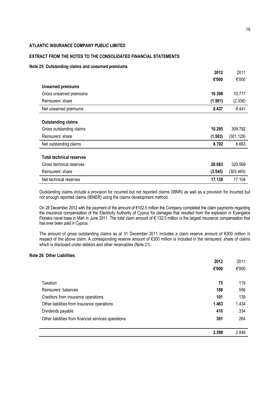## **EXTRACT FROM THE NOTES TO THE CONSOLIDATED FINANCIAL STATEMENTS**

#### **Note 25: Outstanding claims and unearned premiums**

|                                 | 2012    | 2011      |
|---------------------------------|---------|-----------|
|                                 | €'000   | €'000     |
| <b>Unearned premiums</b>        |         |           |
| Gross unearned premiums         | 10.398  | 10.777    |
| Reinsurers' share               | (1.961) | (2.336)   |
| Net unearned premiums           | 8.437   | 8.441     |
|                                 |         |           |
| <b>Outstanding claims</b>       |         |           |
| Gross outstanding claims        | 10.285  | 309.792   |
| Reinsurers' share               | (1.583) | (301.129) |
| Net outstanding claims          | 8.702   | 8.663     |
|                                 |         |           |
| <b>Total technical reserves</b> |         |           |
| Gross technical reserves        | 20.683  | 320.569   |
| Reinsurers' share               | (3.545) | (303.465) |
| Net technical reserves          | 17.138  | 17.104    |

Outstanding claims include a provision for incurred but not reported claims (IBNR) as well as a provision for incurred but not enough reported claims (IBNER) using the claims development method.

On 28 December 2012 with the payment of the amount of €102.5 million the Company completed the claim payments regarding the insurance compensation of the Electricity Authority of Cyprus for damages that resulted from the explosion in Evangelos Florakis naval base in Mari in June 2011. The total claim amount of € 132.5 million is the largest insurance compensation that has ever been paid in Cyprus.

The amount of gross outstanding claims as at 31 December 2011 includes a claim reserve amount of €300 million in respect of the above claim. A corresponding reserve amount of €300 million is included in the reinsurers' share of claims which is disclosed under debtors and other receivables (Note 21).

## **Note 26: Other Liabilities**

|                                                      | 2012 | 2011  |
|------------------------------------------------------|------|-------|
| €'000                                                |      | €'000 |
|                                                      |      |       |
| Taxation                                             | 75   | 119   |
| Reinsurers' balances                                 | 188  | 556   |
| Creditors from insurance operations                  | 101  | 139   |
| Other liabilities from insurance operations<br>1.463 |      | 1.434 |
| Dividends payable                                    | 410  | 334   |
| Other liabilities from financial services operations | 361  | 264   |
|                                                      |      |       |
| 2.598                                                |      | 2.846 |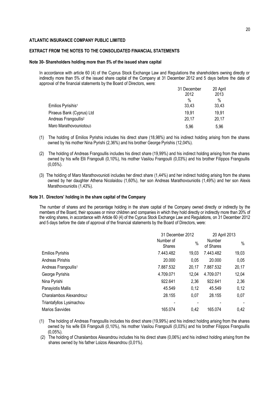## **EXTRACT FROM THE NOTES TO THE CONSOLIDATED FINANCIAL STATEMENTS**

#### **Note 30- Shareholders holding more than 5% of the issued share capital**

In accordance with article 60 (4) of the Cyprus Stock Exchange Law and Regulations the shareholders owning directly or indirectly more than 5% of the issued share capital of the Company at 31 December 2012 and 5 days before the date of approval of the financial statements by the Board of Directors, were:

|                                  | 31 December | 20 April |
|----------------------------------|-------------|----------|
|                                  | 2012        | 2013     |
|                                  | %           | $\%$     |
| Emilios Pyrisihis <sup>1</sup>   | 33,43       | 33,43    |
| Piraeus Bank (Cyprus) Ltd        | 19.91       | 19,91    |
| Andreas Frangoullis <sup>2</sup> | 20,17       | 20.17    |
| Maro Marathovouniotou3           | 5,96        | 5,96     |

- (1) The holding of Emilios Pyrishis includes his direct share (18,98%) and his indirect holding arising from the shares owned by his mother Nina Pyrishi (2,36%) and his brother George Pyrishis (12,04%).
- (2) The holding of Andreas Frangoullis includes his direct share (19,99%) and his indirect holding arising from the shares owned by his wife Elli Frangoulli (0,10%), his mother Vasilou Frangoulli (0,03%) and his brother Filippos Frangoullis (0,05%).
- (3) The holding of Maro Marathovounioti includes her direct share (1,44%) and her indirect holding arising from the shares owned by her daughter Athena Nicolaidou (1,60%), her son Andreas Marathovouniotis (1,49%) and her son Alexis Marathovouniotis (1,43%).

#### **Note 31. Directors' holding in the share capital of the Company**

The number of shares and the percentage holding in the share capital of the Company owned directly or indirectly by the members of the Board, their spouses or minor children and companies in which they hold directly or indirectly more than 20% of the voting shares, in accordance with Article 60 (4) of the Cyprus Stock Exchange Law and Regulations, on 31 December 2012 and 5 days before the date of approval of the financial statements by the Board of Directors, were:

|                                  |                            | 31 December 2012 |                     | 20 April 2013 |  |
|----------------------------------|----------------------------|------------------|---------------------|---------------|--|
|                                  | Number of<br><b>Shares</b> | $\frac{0}{0}$    | Number<br>of Shares | $\%$          |  |
| <b>Emilios Pyrishis</b>          | 7.443.482                  | 19,03            | 7.443.482           | 19,03         |  |
| Andreas Pirishis                 | 20.000                     | 0,05             | 20.000              | 0,05          |  |
| Andreas Frangoullis <sup>1</sup> | 7.887.532                  | 20,17            | 7.887.532           | 20,17         |  |
| George Pyrishis                  | 4.709.071                  | 12,04            | 4.709.071           | 12,04         |  |
| Nina Pyrishi                     | 922.641                    | 2,36             | 922.641             | 2,36          |  |
| Panayiotis Mallis                | 45.549                     | 0,12             | 45.549              | 0,12          |  |
| Charalambos Alexandrou2          | 28.155                     | 0,07             | 28.155              | 0,07          |  |
| Triantafyllos Lysimachou         |                            |                  |                     |               |  |
| Marios Savvides                  | 165.074                    | 0,42             | 165.074             | 0.42          |  |

(1) The holding of Andreas Frangoullis includes his direct share (19,99%) and his indirect holding arising from the shares owned by his wife Elli Frangoulli (0,10%), his mother Vasilou Frangoulli (0,03%) and his brother Filippos Frangoullis (0,05%).

(2) The holding of Charalambos Alexandrou includes his his direct share (0,06%) and his indirect holding arising from the shares owned by his father Loizos Alexandrou (0,01%).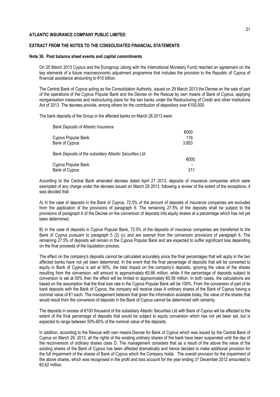## **EXTRACT FROM THE NOTES TO THE CONSOLIDATED FINANCIAL STATEMENTS**

#### **Note 36. Post balance sheet events and capital commitments**

On 25 March 2013 Cyprus and the Eurogroup (along with the International Monetary Fund) reached an agreement on the key elements of a future macroeconomic adjustment programme that includes the provision to the Republic of Cyprus of financial assistance amounting to €10 billion.

The Central Bank of Cyprus acting as the Consolidation Authority, issued on 29 March 2013 the Decree on the sale of part of the operations of the Cyprus Popular Bank and the Decree on the Rescue by own means of Bank of Cyprus, applying reorganisation measures and restructuring plans for the two banks under the Restructuring of Credit and other Institutions Act of 2013. The decrees provide, among others for the contribution of depositors over €100,000.

The bank deposits of the Group in the affected banks on March 26 2013 were:

| Bank Deposits of Atlantic Insurance                     |                      |
|---------------------------------------------------------|----------------------|
| Cyprus Popular Bank<br>Bank of Cyprus                   | €000<br>116<br>3.853 |
| Bank Deposits of the subsidiary Atlantic Securities Ltd |                      |
|                                                         | €000                 |
| Cyprus Popular Bank                                     |                      |
| Bank of Cyprus                                          | 211                  |

According to the Central Bank amended decrees dated April 21 2013, deposits of insurance companies which were exempted of any charge under the decrees issued on March 29 2013, following a review of the extent of the exceptions, it was decided that:

A) In the case of deposits in the Bank of Cyprus, 72,5% of the amount of deposits of insurance companies are excluded from the application of the provisions of paragraph 6. The remaining 27.5% of the deposits shall be subject to the provisions of paragraph 6 of the Decree on the conversion of deposits into equity shares at a percentage which has not yet been determined.

B) In the case of deposits in Cyprus Popular Bank, 72.5% of the deposits of insurance companies are transferred to the Bank of Cyprus pursuant to paragraph 5 (2) (c) and are exempt from the conversion provisions of paragraph 6. The remaining 27.5% of deposits will remain in the Cyprus Popular Bank and are expected to suffer significant loss depending on the final proceeds of the liquidation process.

The effect on the company's deposits cannot be calculated accurately since the final percentages that will apply in the two affected banks have not yet been determined. In the event that the final percentage of deposits that will be converted to equity in Bank of Cyprus is set at 60%, the total impact on the company's deposits, ignoring the value of the shares resulting from the conversion, will amount to approximately €0,66 million, while if the percentage of deposits subject to conversion is set at 50% then the effect will be limited to approximately €0.56 million. In both cases, the calculations are based on the assumption that the final loss rate in the Cyprus Popular Bank will be 100%. From the conversion of part of its bank deposits with the Bank of Cyprus, the company will receive class A ordinary shares of the Bank of Cyprus having a nominal value of €1 each. The management believes that given the information available today, the value of the shares that would result from the conversion of deposits in the Bank of Cyprus cannot be determined with certainty.

The deposits in excess of €100 thousand of the subsidiary Atlantic Securities Ltd with Bank of Cyprus will be affected to the extent of the final percentage of deposits that would be subject to equity conversion which has not yet been set, but is expected to range between 50%-60% of the nominal value of the deposits.

In addition, according to the Rescue with own means Decree for Bank of Cyprus which was issued by the Central Bank of Cyprus on March 29, 2013, all the rights of the existing ordinary shares of the bank have been suspended until the day of the reconversion of ordinary shares class D. The management considers that as a result of the above the value of the existing shares of the Bank of Cyprus has been affected dramatically and hence decided to make additional provision for the full impairment of the shares of Bank of Cyprus which the Company holds. The overall provision for the impairment of the above shares, which was recognised in the profit and loss account for the year ending 31 December 2012 amounted to €0,62 million.